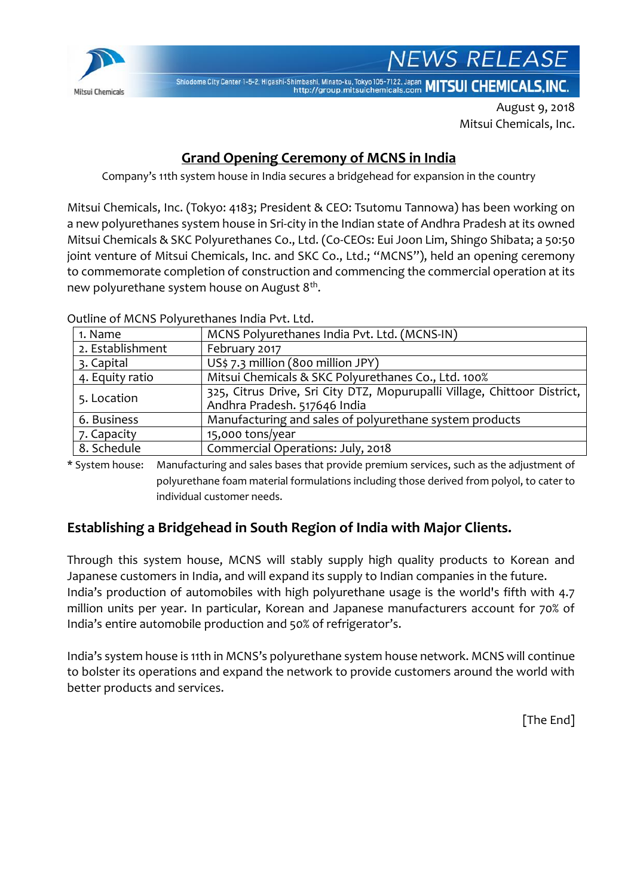

Shiodome City Center 1-5-2, Higashi-Shimbashi, Minato-ku, Tokyo 105-7122, Japan MITSUI CHEMICALS, INC.

August 9, 2018 Mitsui Chemicals, Inc.

**NEWS RELEASE** 

# **Grand Opening Ceremony of MCNS in India**

Company's 11th system house in India secures a bridgehead for expansion in the country

Mitsui Chemicals, Inc. (Tokyo: 4183; President & CEO: Tsutomu Tannowa) has been working on a new polyurethanes system house in Sri-city in the Indian state of Andhra Pradesh at its owned Mitsui Chemicals & SKC Polyurethanes Co., Ltd. (Co-CEOs: Eui Joon Lim, Shingo Shibata; a 50:50 joint venture of Mitsui Chemicals, Inc. and SKC Co., Ltd.; "MCNS"), held an opening ceremony to commemorate completion of construction and commencing the commercial operation at its new polyurethane system house on August 8<sup>th</sup>.

1. Name MCNS Polyurethanes India Pvt. Ltd. (MCNS-IN) 2. Establishment | February 2017 3. Capital  $\vert$  US\$ 7.3 million (800 million JPY) 4. Equity ratio | Mitsui Chemicals & SKC Polyurethanes Co., Ltd. 100% 5. Location 325, Citrus Drive, Sri City DTZ, Mopurupalli Village, Chittoor District, Andhra Pradesh. 517646 India 6. Business Manufacturing and sales of polyurethane system products 7. Capacity 15,000 tons/year 8. Schedule Commercial Operations: July, 2018

Outline of MCNS Polyurethanes India Pvt. Ltd.

\* System house: Manufacturing and sales bases that provide premium services, such as the adjustment of polyurethane foam material formulations including those derived from polyol, to cater to individual customer needs.

## **Establishing a Bridgehead in South Region of India with Major Clients.**

Through this system house, MCNS will stably supply high quality products to Korean and Japanese customers in India, and will expand its supply to Indian companies in the future. India's production of automobiles with high polyurethane usage is the world's fifth with 4.7 million units per year. In particular, Korean and Japanese manufacturers account for 70% of India's entire automobile production and 50% of refrigerator's.

India's system house is 11th in MCNS's polyurethane system house network. MCNS will continue to bolster its operations and expand the network to provide customers around the world with better products and services.

[The End]